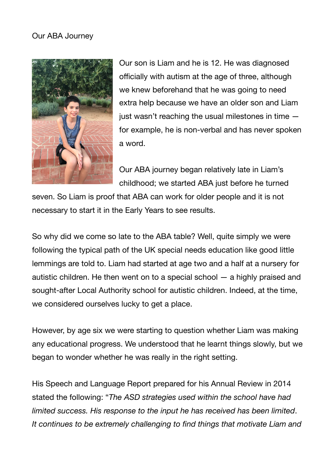## Our ABA Journey



Our son is Liam and he is 12. He was diagnosed officially with autism at the age of three, although we knew beforehand that he was going to need extra help because we have an older son and Liam just wasn't reaching the usual milestones in time for example, he is non-verbal and has never spoken a word.

Our ABA journey began relatively late in Liam's childhood; we started ABA just before he turned

seven. So Liam is proof that ABA can work for older people and it is not necessary to start it in the Early Years to see results.

So why did we come so late to the ABA table? Well, quite simply we were following the typical path of the UK special needs education like good little lemmings are told to. Liam had started at age two and a half at a nursery for autistic children. He then went on to a special school — a highly praised and sought-after Local Authority school for autistic children. Indeed, at the time, we considered ourselves lucky to get a place.

However, by age six we were starting to question whether Liam was making any educational progress. We understood that he learnt things slowly, but we began to wonder whether he was really in the right setting.

His Speech and Language Report prepared for his Annual Review in 2014 stated the following: "*The ASD strategies used within the school have had limited success. His response to the input he has received has been limited*. *It continues to be extremely challenging to find things that motivate Liam and*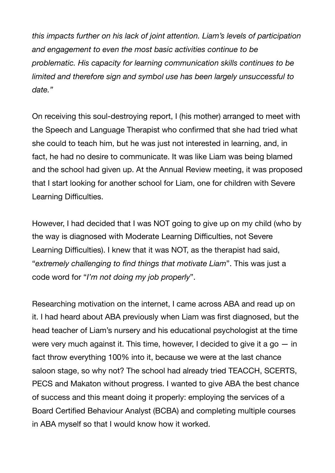*this impacts further on his lack of joint attention. Liam's levels of participation and engagement to even the most basic activities continue to be problematic. His capacity for learning communication skills continues to be limited and therefore sign and symbol use has been largely unsuccessful to date."* 

On receiving this soul-destroying report, I (his mother) arranged to meet with the Speech and Language Therapist who confirmed that she had tried what she could to teach him, but he was just not interested in learning, and, in fact, he had no desire to communicate. It was like Liam was being blamed and the school had given up. At the Annual Review meeting, it was proposed that I start looking for another school for Liam, one for children with Severe Learning Difficulties.

However, I had decided that I was NOT going to give up on my child (who by the way is diagnosed with Moderate Learning Difficulties, not Severe Learning Difficulties). I knew that it was NOT, as the therapist had said, "*extremely challenging to find things that motivate Liam*". This was just a code word for "*I'm not doing my job properly*".

Researching motivation on the internet, I came across ABA and read up on it. I had heard about ABA previously when Liam was first diagnosed, but the head teacher of Liam's nursery and his educational psychologist at the time were very much against it. This time, however, I decided to give it a go  $-$  in fact throw everything 100% into it, because we were at the last chance saloon stage, so why not? The school had already tried TEACCH, SCERTS, PECS and Makaton without progress. I wanted to give ABA the best chance of success and this meant doing it properly: employing the services of a Board Certified Behaviour Analyst (BCBA) and completing multiple courses in ABA myself so that I would know how it worked.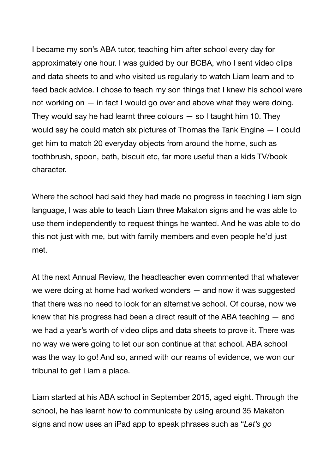I became my son's ABA tutor, teaching him after school every day for approximately one hour. I was guided by our BCBA, who I sent video clips and data sheets to and who visited us regularly to watch Liam learn and to feed back advice. I chose to teach my son things that I knew his school were not working on — in fact I would go over and above what they were doing. They would say he had learnt three colours  $-$  so I taught him 10. They would say he could match six pictures of Thomas the Tank Engine — I could get him to match 20 everyday objects from around the home, such as toothbrush, spoon, bath, biscuit etc, far more useful than a kids TV/book character.

Where the school had said they had made no progress in teaching Liam sign language, I was able to teach Liam three Makaton signs and he was able to use them independently to request things he wanted. And he was able to do this not just with me, but with family members and even people he'd just met.

At the next Annual Review, the headteacher even commented that whatever we were doing at home had worked wonders — and now it was suggested that there was no need to look for an alternative school. Of course, now we knew that his progress had been a direct result of the ABA teaching — and we had a year's worth of video clips and data sheets to prove it. There was no way we were going to let our son continue at that school. ABA school was the way to go! And so, armed with our reams of evidence, we won our tribunal to get Liam a place.

Liam started at his ABA school in September 2015, aged eight. Through the school, he has learnt how to communicate by using around 35 Makaton signs and now uses an iPad app to speak phrases such as "*Let's go*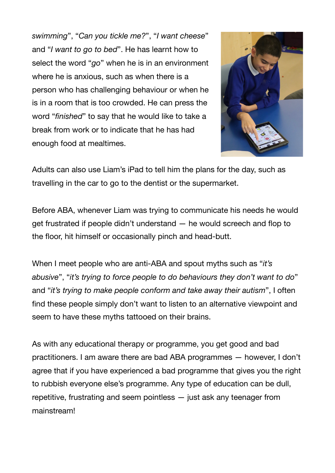*swimming*", "*Can you tickle me?*", "*I want cheese*" and "*I want to go to bed*". He has learnt how to select the word "*go*" when he is in an environment where he is anxious, such as when there is a person who has challenging behaviour or when he is in a room that is too crowded. He can press the word "*finished*" to say that he would like to take a break from work or to indicate that he has had enough food at mealtimes.



Adults can also use Liam's iPad to tell him the plans for the day, such as travelling in the car to go to the dentist or the supermarket.

Before ABA, whenever Liam was trying to communicate his needs he would get frustrated if people didn't understand — he would screech and flop to the floor, hit himself or occasionally pinch and head-butt.

When I meet people who are anti-ABA and spout myths such as "*it's abusive*", "*it's trying to force people to do behaviours they don't want to do*" and "*it's trying to make people conform and take away their autism*", I often find these people simply don't want to listen to an alternative viewpoint and seem to have these myths tattooed on their brains.

As with any educational therapy or programme, you get good and bad practitioners. I am aware there are bad ABA programmes — however, I don't agree that if you have experienced a bad programme that gives you the right to rubbish everyone else's programme. Any type of education can be dull, repetitive, frustrating and seem pointless — just ask any teenager from mainstream!